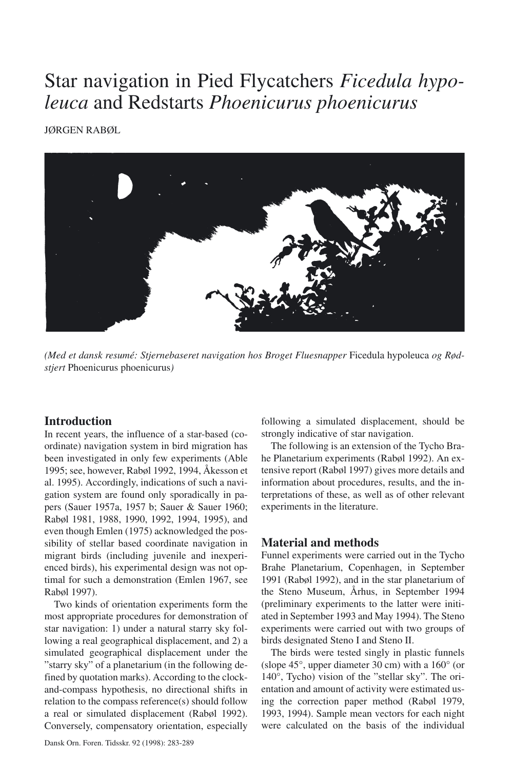# Star navigation in Pied Flycatchers *Ficedula hypoleuca* and Redstarts *Phoenicurus phoenicurus*

JØRGEN RABØL



*(Med et dansk resumé: Stjernebaseret navigation hos Broget Fluesnapper* Ficedula hypoleuca *og Rødstjert* Phoenicurus phoenicurus*)*

# **Introduction**

In recent years, the influence of a star-based (coordinate) navigation system in bird migration has been investigated in only few experiments (Able 1995; see, however, Rabøl 1992, 1994, Åkesson et al. 1995). Accordingly, indications of such a navigation system are found only sporadically in papers (Sauer 1957a, 1957 b; Sauer & Sauer 1960; Rabøl 1981, 1988, 1990, 1992, 1994, 1995), and even though Emlen (1975) acknowledged the possibility of stellar based coordinate navigation in migrant birds (including juvenile and inexperienced birds), his experimental design was not optimal for such a demonstration (Emlen 1967, see Rabøl 1997).

Two kinds of orientation experiments form the most appropriate procedures for demonstration of star navigation: 1) under a natural starry sky following a real geographical displacement, and 2) a simulated geographical displacement under the "starry sky" of a planetarium (in the following defined by quotation marks). According to the clockand-compass hypothesis, no directional shifts in relation to the compass reference(s) should follow a real or simulated displacement (Rabøl 1992). Conversely, compensatory orientation, especially following a simulated displacement, should be strongly indicative of star navigation.

The following is an extension of the Tycho Brahe Planetarium experiments (Rabøl 1992). An extensive report (Rabøl 1997) gives more details and information about procedures, results, and the interpretations of these, as well as of other relevant experiments in the literature.

# **Material and methods**

Funnel experiments were carried out in the Tycho Brahe Planetarium, Copenhagen, in September 1991 (Rabøl 1992), and in the star planetarium of the Steno Museum, Århus, in September 1994 (preliminary experiments to the latter were initiated in September 1993 and May 1994). The Steno experiments were carried out with two groups of birds designated Steno I and Steno II.

The birds were tested singly in plastic funnels (slope 45°, upper diameter 30 cm) with a 160° (or 140°, Tycho) vision of the "stellar sky". The orientation and amount of activity were estimated using the correction paper method (Rabøl 1979, 1993, 1994). Sample mean vectors for each night were calculated on the basis of the individual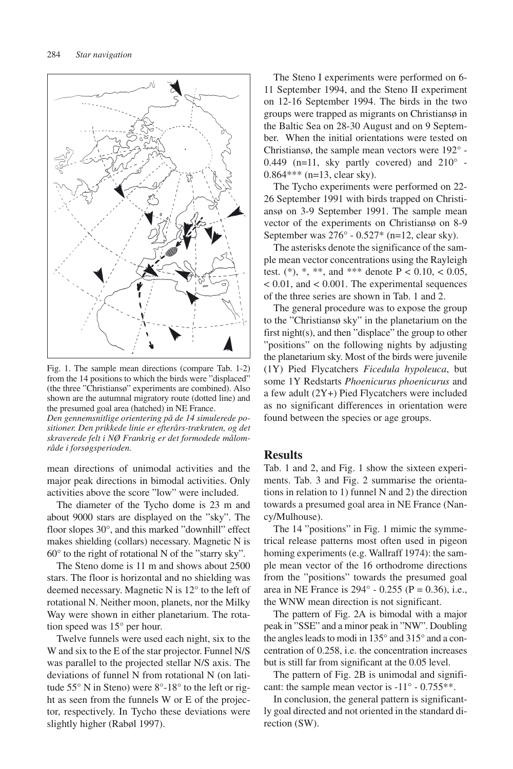

Fig. 1. The sample mean directions (compare Tab. 1-2) from the 14 positions to which the birds were "displaced" (the three "Christiansø" experiments are combined). Also shown are the autumnal migratory route (dotted line) and the presumed goal area (hatched) in NE France.

*Den gennemsnitlige orientering på de 14 simulerede positioner. Den prikkede linie er efterårs-trækruten, og det skraverede felt i NØ Frankrig er det formodede målområde i forsøgsperioden.*

mean directions of unimodal activities and the major peak directions in bimodal activities. Only activities above the score "low" were included.

The diameter of the Tycho dome is 23 m and about 9000 stars are displayed on the "sky". The floor slopes 30°, and this marked "downhill" effect makes shielding (collars) necessary. Magnetic N is 60° to the right of rotational N of the "starry sky".

The Steno dome is 11 m and shows about 2500 stars. The floor is horizontal and no shielding was deemed necessary. Magnetic N is 12° to the left of rotational N. Neither moon, planets, nor the Milky Way were shown in either planetarium. The rotation speed was 15° per hour.

Twelve funnels were used each night, six to the W and six to the E of the star projector. Funnel N/S was parallel to the projected stellar N/S axis. The deviations of funnel N from rotational N (on latitude 55° N in Steno) were 8°-18° to the left or right as seen from the funnels W or E of the projector, respectively. In Tycho these deviations were slightly higher (Rabøl 1997).

The Steno I experiments were performed on 6- 11 September 1994, and the Steno II experiment on 12-16 September 1994. The birds in the two groups were trapped as migrants on Christiansø in the Baltic Sea on 28-30 August and on 9 September. When the initial orientations were tested on Christiansø, the sample mean vectors were 192° - 0.449 (n=11, sky partly covered) and  $210^{\circ}$  -0.864\*\*\* (n=13, clear sky).

The Tycho experiments were performed on 22- 26 September 1991 with birds trapped on Christiansø on 3-9 September 1991. The sample mean vector of the experiments on Christiansø on 8-9 September was  $276^{\circ}$  - 0.527\* (n=12, clear sky).

The asterisks denote the significance of the sample mean vector concentrations using the Rayleigh test. (\*), \*, \*\*, and \*\*\* denote  $P < 0.10, < 0.05$ , < 0.01, and < 0.001. The experimental sequences of the three series are shown in Tab. 1 and 2.

The general procedure was to expose the group to the "Christiansø sky" in the planetarium on the first night(s), and then "displace" the group to other "positions" on the following nights by adjusting the planetarium sky. Most of the birds were juvenile (1Y) Pied Flycatchers *Ficedula hypoleuca*, but some 1Y Redstarts *Phoenicurus phoenicurus* and a few adult (2Y+) Pied Flycatchers were included as no significant differences in orientation were found between the species or age groups.

### **Results**

Tab. 1 and 2, and Fig. 1 show the sixteen experiments. Tab. 3 and Fig. 2 summarise the orientations in relation to 1) funnel N and 2) the direction towards a presumed goal area in NE France (Nancy/Mulhouse).

The 14 "positions" in Fig. 1 mimic the symmetrical release patterns most often used in pigeon homing experiments (e.g. Wallraff 1974): the sample mean vector of the 16 orthodrome directions from the "positions" towards the presumed goal area in NE France is  $294^{\circ}$  - 0.255 (P = 0.36), i.e., the WNW mean direction is not significant.

The pattern of Fig. 2A is bimodal with a major peak in "SSE" and a minor peak in "NW". Doubling the angles leads to modi in 135° and 315° and a concentration of 0.258, i.e. the concentration increases but is still far from significant at the 0.05 level.

The pattern of Fig. 2B is unimodal and significant: the sample mean vector is -11° - 0.755\*\*.

In conclusion, the general pattern is significantly goal directed and not oriented in the standard direction (SW).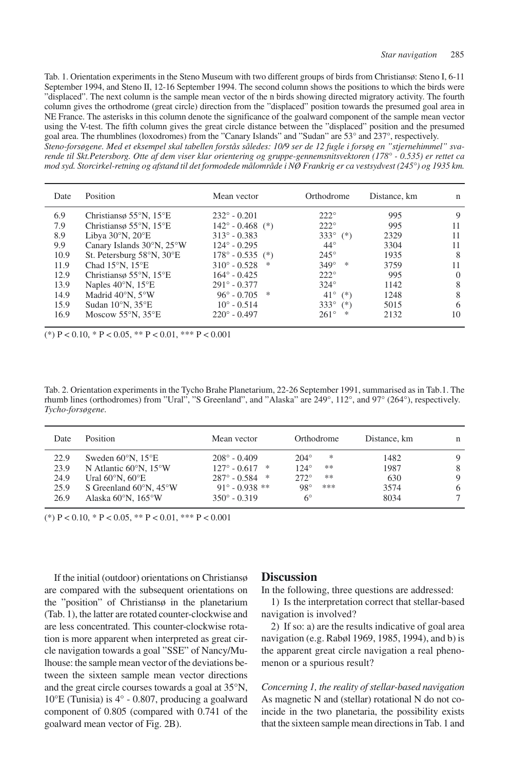Tab. 1. Orientation experiments in the Steno Museum with two different groups of birds from Christiansø: Steno I, 6-11 September 1994, and Steno II, 12-16 September 1994. The second column shows the positions to which the birds were "displaced". The next column is the sample mean vector of the n birds showing directed migratory activity. The fourth column gives the orthodrome (great circle) direction from the "displaced" position towards the presumed goal area in NE France. The asterisks in this column denote the significance of the goalward component of the sample mean vector using the V-test. The fifth column gives the great circle distance between the "displaced" position and the presumed goal area. The rhumblines (loxodromes) from the "Canary Islands" and "Sudan" are 53° and 237°, respectively.

*Steno-forsøgene. Med et eksempel skal tabellen forstås således: 10/9 ser de 12 fugle i forsøg en "stjernehimmel" svarende til Skt.Petersborg. Otte af dem viser klar orientering og gruppe-gennemsnitsvektoren (178° - 0.535) er rettet ca mod syd. Storcirkel-retning og afstand til det formodede målområde i NØ Frankrig er ca vestsydvest (245°) og 1935 km.*

| Date | Position                                      | Mean vector                | Orthodrome            | Distance, km | n        |
|------|-----------------------------------------------|----------------------------|-----------------------|--------------|----------|
| 6.9  | Christians $55^{\circ}$ N, $15^{\circ}$ E     | $232^{\circ} - 0.201$      | $222^\circ$           | 995          | 9        |
| 7.9  | Christians $55^{\circ}$ N, $15^{\circ}$ E     | $142^{\circ} - 0.468$ (*)  | $222^\circ$           | 995          | 11       |
| 8.9  | Libya $30^\circ$ N, $20^\circ$ E              | $313^{\circ} - 0.383$      | 333 $^{\circ}$ (*)    | 2329         | 11       |
| 9.9  | Canary Islands $30^{\circ}$ N, $25^{\circ}$ W | $124^{\circ} - 0.295$      | $44^{\circ}$          | 3304         | 11       |
| 10.9 | St. Petersburg 58°N, 30°E                     | $178^{\circ} - 0.535$ (*)  | $245^\circ$           | 1935         | 8        |
| 11.9 | Chad $15^{\circ}$ N, $15^{\circ}$ E           | $310^{\circ} - 0.528$<br>* | $349^\circ$<br>*      | 3759         | 11       |
| 12.9 | Christians $55^{\circ}$ N, $15^{\circ}$ E     | $164^{\circ} - 0.425$      | $222^\circ$           | 995          | $\Omega$ |
| 13.9 | Naples $40^{\circ}$ N, $15^{\circ}$ E         | $291^{\circ} - 0.377$      | $324^\circ$           | 1142         | 8        |
| 14.9 | Madrid 40°N, 5°W                              | $96^{\circ} - 0.705$<br>*  | $41^{\circ}$<br>$(*)$ | 1248         | 8        |
| 15.9 | Sudan $10^{\circ}$ N, $35^{\circ}$ E          | $10^{\circ} - 0.514$       | $333^\circ$<br>$(*)$  | 5015         | 6        |
| 16.9 | Moscow $55^{\circ}$ N, $35^{\circ}$ E         | $220^{\circ} - 0.497$      | $261^\circ$<br>*      | 2132         | 10       |

(\*)  $P < 0.10$ , \*  $P < 0.05$ , \*\*  $P < 0.01$ , \*\*\*  $P < 0.001$ 

Tab. 2. Orientation experiments in the Tycho Brahe Planetarium, 22-26 September 1991, summarised as in Tab.1. The rhumb lines (orthodromes) from "Ural", "S Greenland", and "Alaska" are 249°, 112°, and 97° (264°), respectively. *Tycho-forsøgene.*

| Date | <b>Position</b>                            | Mean vector                | Orthodrome          | Distance, km | n |
|------|--------------------------------------------|----------------------------|---------------------|--------------|---|
| 22.9 | Sweden $60^{\circ}$ N. 15 $^{\circ}$ E     | $208^\circ - 0.409$        | $204^\circ$<br>*    | 1482         | 9 |
| 23.9 | N Atlantic $60^{\circ}$ N, $15^{\circ}$ W  | $127^{\circ} - 0.617$<br>水 | $124^\circ$<br>**   | 1987         | 8 |
| 24.9 | Ural $60^{\circ}$ N, $60^{\circ}$ E        | $287^\circ - 0.584$ *      | $272^\circ$<br>**   | 630          | 9 |
| 25.9 | S Greenland $60^{\circ}$ N, $45^{\circ}$ W | $91^{\circ} - 0.938$ **    | $98^{\circ}$<br>*** | 3574         | 6 |
| 26.9 | Alaska 60°N, 165°W                         | $350^{\circ} - 0.319$      | 6°                  | 8034         |   |

(\*)  $P < 0.10$ , \*  $P < 0.05$ , \*\*  $P < 0.01$ , \*\*\*  $P < 0.001$ 

If the initial (outdoor) orientations on Christiansø are compared with the subsequent orientations on the "position" of Christiansø in the planetarium (Tab. 1), the latter are rotated counter-clockwise and are less concentrated. This counter-clockwise rotation is more apparent when interpreted as great circle navigation towards a goal "SSE" of Nancy/Mulhouse: the sample mean vector of the deviations between the sixteen sample mean vector directions and the great circle courses towards a goal at 35°N, 10°E (Tunisia) is 4° - 0.807, producing a goalward component of 0.805 (compared with 0.741 of the goalward mean vector of Fig. 2B).

# **Discussion**

In the following, three questions are addressed:

1) Is the interpretation correct that stellar-based navigation is involved?

2) If so: a) are the results indicative of goal area navigation (e.g. Rabøl 1969, 1985, 1994), and b) is the apparent great circle navigation a real phenomenon or a spurious result?

*Concerning 1, the reality of stellar-based navigation* As magnetic N and (stellar) rotational N do not coincide in the two planetaria, the possibility exists that the sixteen sample mean directions in Tab. 1 and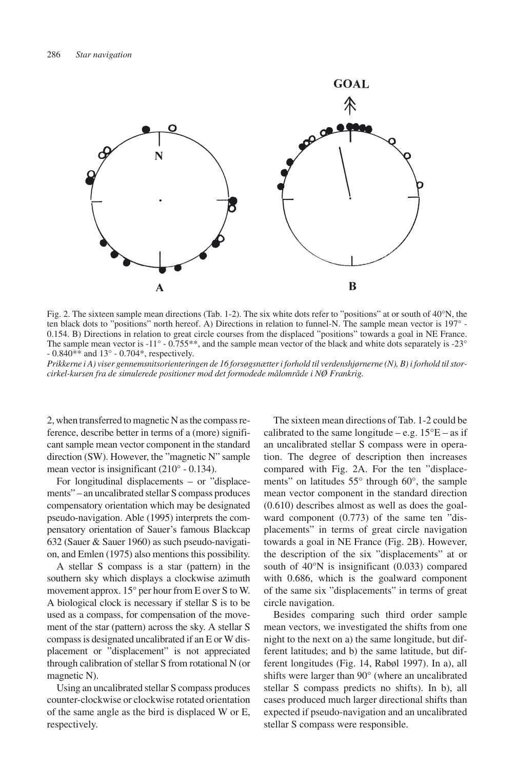

Fig. 2. The sixteen sample mean directions (Tab. 1-2). The six white dots refer to "positions" at or south of 40°N, the ten black dots to "positions" north hereof. A) Directions in relation to funnel-N. The sample mean vector is 197° - 0.154. B) Directions in relation to great circle courses from the displaced "positions" towards a goal in NE France. The sample mean vector is -11° - 0.755\*\*, and the sample mean vector of the black and white dots separately is -23°  $-0.840**$  and  $13^{\circ}$  - 0.704\*, respectively.

*Prikkerne i A) viser gennemsnitsorienteringen de 16 forsøgsnætter i forhold til verdenshjørnerne (N), B) i forhold til storcirkel-kursen fra de simulerede positioner mod det formodede målområde i NØ Frankrig.*

2, when transferred to magnetic N as the compass reference, describe better in terms of a (more) significant sample mean vector component in the standard direction (SW). However, the "magnetic N" sample mean vector is insignificant (210° - 0.134).

For longitudinal displacements – or "displacements" – an uncalibrated stellar S compass produces compensatory orientation which may be designated pseudo-navigation. Able (1995) interprets the compensatory orientation of Sauer's famous Blackcap 632 (Sauer & Sauer 1960) as such pseudo-navigation, and Emlen (1975) also mentions this possibility.

A stellar S compass is a star (pattern) in the southern sky which displays a clockwise azimuth movement approx. 15° per hour from E over S to W. A biological clock is necessary if stellar S is to be used as a compass, for compensation of the movement of the star (pattern) across the sky. A stellar S compass is designated uncalibrated if an E or W displacement or "displacement" is not appreciated through calibration of stellar S from rotational N (or magnetic N).

Using an uncalibrated stellar S compass produces counter-clockwise or clockwise rotated orientation of the same angle as the bird is displaced W or E, respectively.

The sixteen mean directions of Tab. 1-2 could be calibrated to the same longitude – e.g.  $15^{\circ}E$  – as if an uncalibrated stellar S compass were in operation. The degree of description then increases compared with Fig. 2A. For the ten "displacements" on latitudes 55° through 60°, the sample mean vector component in the standard direction (0.610) describes almost as well as does the goalward component (0.773) of the same ten "displacements" in terms of great circle navigation towards a goal in NE France (Fig. 2B). However, the description of the six "displacements" at or south of 40°N is insignificant (0.033) compared with 0.686, which is the goalward component of the same six "displacements" in terms of great circle navigation.

Besides comparing such third order sample mean vectors, we investigated the shifts from one night to the next on a) the same longitude, but different latitudes; and b) the same latitude, but different longitudes (Fig. 14, Rabøl 1997). In a), all shifts were larger than 90° (where an uncalibrated stellar S compass predicts no shifts). In b), all cases produced much larger directional shifts than expected if pseudo-navigation and an uncalibrated stellar S compass were responsible.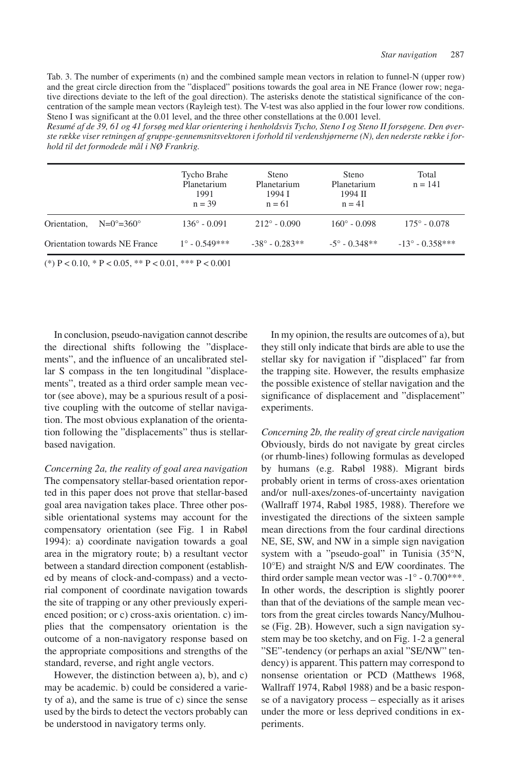Tab. 3. The number of experiments (n) and the combined sample mean vectors in relation to funnel-N (upper row) and the great circle direction from the "displaced" positions towards the goal area in NE France (lower row; negative directions deviate to the left of the goal direction). The asterisks denote the statistical significance of the concentration of the sample mean vectors (Rayleigh test). The V-test was also applied in the four lower row conditions. Steno I was significant at the 0.01 level, and the three other constellations at the 0.001 level.

*Resumé af de 39, 61 og 41 forsøg med klar orientering i henholdsvis Tycho, Steno I og Steno II forsøgene. Den øverste række viser retningen af gruppe-gennemsnitsvektoren i forhold til verdenshjørnerne (N), den nederste række i forhold til det formodede mål i NØ Frankrig.*

|                                             | Tycho Brahe<br>Planetarium<br>1991<br>$n = 39$ | Steno<br>Planetarium<br>1994 I<br>$n = 61$ | Steno<br>Planetarium<br>1994 II<br>$n = 41$ | Total<br>$n = 141$       |
|---------------------------------------------|------------------------------------------------|--------------------------------------------|---------------------------------------------|--------------------------|
| Orientation,<br>$N=0^{\circ} = 360^{\circ}$ | $136^{\circ} - 0.091$                          | $212^{\circ} - 0.090$                      | $160^{\circ} - 0.098$                       | $175^{\circ} - 0.078$    |
| Orientation towards NE France               | $1^\circ$ - 0.549***                           | $-38^{\circ} - 0.283**$                    | $-5^{\circ}$ - 0.348**                      | $-13^{\circ} - 0.358***$ |

(\*)  $P < 0.10$ , \*  $P < 0.05$ , \*\*  $P < 0.01$ , \*\*\*  $P < 0.001$ 

In conclusion, pseudo-navigation cannot describe the directional shifts following the "displacements", and the influence of an uncalibrated stellar S compass in the ten longitudinal "displacements", treated as a third order sample mean vector (see above), may be a spurious result of a positive coupling with the outcome of stellar navigation. The most obvious explanation of the orientation following the "displacements" thus is stellarbased navigation.

*Concerning 2a, the reality of goal area navigation* The compensatory stellar-based orientation reported in this paper does not prove that stellar-based goal area navigation takes place. Three other possible orientational systems may account for the compensatory orientation (see Fig. 1 in Rabøl 1994): a) coordinate navigation towards a goal area in the migratory route; b) a resultant vector between a standard direction component (established by means of clock-and-compass) and a vectorial component of coordinate navigation towards the site of trapping or any other previously experienced position; or c) cross-axis orientation. c) implies that the compensatory orientation is the outcome of a non-navigatory response based on the appropriate compositions and strengths of the standard, reverse, and right angle vectors.

However, the distinction between a), b), and c) may be academic. b) could be considered a variety of a), and the same is true of c) since the sense used by the birds to detect the vectors probably can be understood in navigatory terms only.

In my opinion, the results are outcomes of a), but they still only indicate that birds are able to use the stellar sky for navigation if "displaced" far from the trapping site. However, the results emphasize the possible existence of stellar navigation and the significance of displacement and "displacement" experiments.

*Concerning 2b, the reality of great circle navigation* Obviously, birds do not navigate by great circles (or rhumb-lines) following formulas as developed by humans (e.g. Rabøl 1988). Migrant birds probably orient in terms of cross-axes orientation and/or null-axes/zones-of-uncertainty navigation (Wallraff 1974, Rabøl 1985, 1988). Therefore we investigated the directions of the sixteen sample mean directions from the four cardinal directions NE, SE, SW, and NW in a simple sign navigation system with a "pseudo-goal" in Tunisia (35°N, 10°E) and straight N/S and E/W coordinates. The third order sample mean vector was -1° - 0.700\*\*\*. In other words, the description is slightly poorer than that of the deviations of the sample mean vectors from the great circles towards Nancy/Mulhouse (Fig. 2B). However, such a sign navigation system may be too sketchy, and on Fig. 1-2 a general "SE"-tendency (or perhaps an axial "SE/NW" tendency) is apparent. This pattern may correspond to nonsense orientation or PCD (Matthews 1968, Wallraff 1974, Rabøl 1988) and be a basic response of a navigatory process – especially as it arises under the more or less deprived conditions in experiments.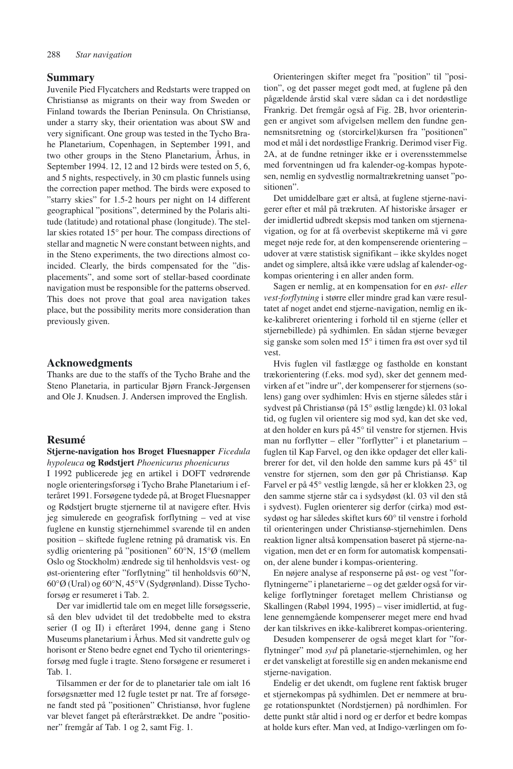#### **Summary**

Juvenile Pied Flycatchers and Redstarts were trapped on Christiansø as migrants on their way from Sweden or Finland towards the Iberian Peninsula. On Christiansø, under a starry sky, their orientation was about SW and very significant. One group was tested in the Tycho Brahe Planetarium, Copenhagen, in September 1991, and two other groups in the Steno Planetarium, Århus, in September 1994. 12, 12 and 12 birds were tested on 5, 6, and 5 nights, respectively, in 30 cm plastic funnels using the correction paper method. The birds were exposed to "starry skies" for 1.5-2 hours per night on 14 different geographical "positions", determined by the Polaris altitude (latitude) and rotational phase (longitude). The stellar skies rotated 15° per hour. The compass directions of stellar and magnetic N were constant between nights, and in the Steno experiments, the two directions almost coincided. Clearly, the birds compensated for the "displacements", and some sort of stellar-based coordinate navigation must be responsible for the patterns observed. This does not prove that goal area navigation takes place, but the possibility merits more consideration than previously given.

#### **Acknowedgments**

Thanks are due to the staffs of the Tycho Brahe and the Steno Planetaria, in particular Bjørn Franck-Jørgensen and Ole J. Knudsen. J. Andersen improved the English.

# **Resumé**

#### **Stjerne-navigation hos Broget Fluesnapper** *Ficedula hypoleuca* **og Rødstjert** *Phoenicurus phoenicurus*

I 1992 publicerede jeg en artikel i DOFT vedrørende nogle orienteringsforsøg i Tycho Brahe Planetarium i efteråret 1991. Forsøgene tydede på, at Broget Fluesnapper og Rødstjert brugte stjernerne til at navigere efter. Hvis jeg simulerede en geografisk forflytning – ved at vise fuglene en kunstig stjernehimmel svarende til en anden position – skiftede fuglene retning på dramatisk vis. En sydlig orientering på "positionen" 60°N, 15°Ø (mellem Oslo og Stockholm) ændrede sig til henholdsvis vest- og øst-orientering efter "forflytning" til henholdsvis 60°N, 60°Ø (Ural) og 60°N, 45°V (Sydgrønland). Disse Tychoforsøg er resumeret i Tab. 2.

Der var imidlertid tale om en meget lille forsøgsserie, så den blev udvidet til det tredobbelte med to ekstra serier (I og II) i efteråret 1994, denne gang i Steno Museums planetarium i Århus. Med sit vandrette gulv og horisont er Steno bedre egnet end Tycho til orienteringsforsøg med fugle i tragte. Steno forsøgene er resumeret i Tab. 1.

Tilsammen er der for de to planetarier tale om ialt 16 forsøgsnætter med 12 fugle testet pr nat. Tre af forsøgene fandt sted på "positionen" Christiansø, hvor fuglene var blevet fanget på efterårstrækket. De andre "positioner" fremgår af Tab. 1 og 2, samt Fig. 1.

Orienteringen skifter meget fra "position" til "position", og det passer meget godt med, at fuglene på den pågældende årstid skal være sådan ca i det nordøstlige Frankrig. Det fremgår også af Fig. 2B, hvor orienteringen er angivet som afvigelsen mellem den fundne gennemsnitsretning og (storcirkel)kursen fra "positionen" mod et mål i det nordøstlige Frankrig. Derimod viser Fig. 2A, at de fundne retninger ikke er i overensstemmelse med forventningen ud fra kalender-og-kompas hypotesen, nemlig en sydvestlig normaltrækretning uanset "positionen".

Det umiddelbare gæt er altså, at fuglene stjerne-navigerer efter et mål på trækruten. Af historiske årsager er der imidlertid udbredt skepsis mod tanken om stjernenavigation, og for at få overbevist skeptikerne må vi gøre meget nøje rede for, at den kompenserende orientering – udover at være statistisk signifikant – ikke skyldes noget andet og simplere, altså ikke være udslag af kalender-ogkompas orientering i en aller anden form.

Sagen er nemlig, at en kompensation for en *øst- eller vest-forflytning* i større eller mindre grad kan være resultatet af noget andet end stjerne-navigation, nemlig en ikke-kalibreret orientering i forhold til en stjerne (eller et stjernebillede) på sydhimlen. En sådan stjerne bevæger sig ganske som solen med 15° i timen fra øst over syd til vest.

Hvis fuglen vil fastlægge og fastholde en konstant trækorientering (f.eks. mod syd), sker det gennem medvirken af et "indre ur", der kompenserer for stjernens (solens) gang over sydhimlen: Hvis en stjerne således står i sydvest på Christiansø (på 15° østlig længde) kl. 03 lokal tid, og fuglen vil orientere sig mod syd, kan det ske ved, at den holder en kurs på 45° til venstre for stjernen. Hvis man nu forflytter – eller "forflytter" i et planetarium – fuglen til Kap Farvel, og den ikke opdager det eller kalibrerer for det, vil den holde den samme kurs på 45° til venstre for stjernen, som den gør på Christiansø. Kap Farvel er på 45° vestlig længde, så her er klokken 23, og den samme stjerne står ca i sydsydøst (kl. 03 vil den stå i sydvest). Fuglen orienterer sig derfor (cirka) mod østsydøst og har således skiftet kurs 60° til venstre i forhold til orienteringen under Christiansø-stjernehimlen. Dens reaktion ligner altså kompensation baseret på stjerne-navigation, men det er en form for automatisk kompensation, der alene bunder i kompas-orientering.

En nøjere analyse af responserne på øst- og vest "forflytningerne" i planetarierne – og det gælder også for virkelige forflytninger foretaget mellem Christiansø og Skallingen (Rabøl 1994, 1995) – viser imidlertid, at fuglene gennemgående kompenserer meget mere end hvad der kan tilskrives en ikke-kalibreret kompas-orientering.

Desuden kompenserer de også meget klart for "forflytninger" mod *syd* på planetarie-stjernehimlen, og her er det vanskeligt at forestille sig en anden mekanisme end stjerne-navigation.

Endelig er det ukendt, om fuglene rent faktisk bruger et stjernekompas på sydhimlen. Det er nemmere at bruge rotationspunktet (Nordstjernen) på nordhimlen. For dette punkt står altid i nord og er derfor et bedre kompas at holde kurs efter. Man ved, at Indigo-værlingen om fo